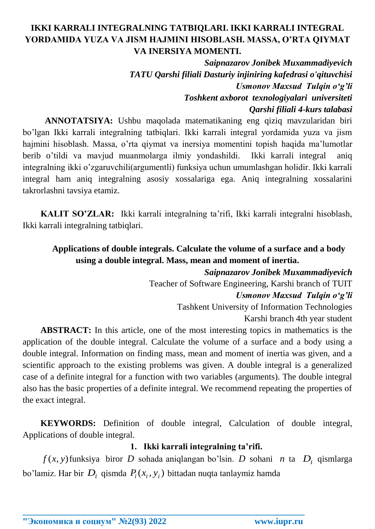# **IKKI KARRALI INTEGRALNING TATBIQLARI. IKKI KARRALI INTEGRAL YORDAMIDA YUZA VA JISM HAJMINI HISOBLASH. MASSA, O'RTA QIYMAT VA INERSIYA MOMENTI.**

*Saipnazarov Jonibek Muxammadiyevich TATU Qarshi filiali Dasturiy injiniring kafedrasi o'qituvchisi Usmonov Maxsud Tulqin o'g'li Toshkent axborot texnologiyalari universiteti Qarshi filiali 4-kurs talabasi*

**ANNOTATSIYA:** Ushbu maqolada matematikaning eng qiziq mavzularidan biri bo'lgan Ikki karrali integralning tatbiqlari. Ikki karrali integral yordamida yuza va jism hajmini hisoblash. Massa, o'rta qiymat va inersiya momentini topish haqida ma'lumotlar berib o'tildi va mavjud muanmolarga ilmiy yondashildi. Ikki karrali integral aniq integralning ikki o'zgaruvchili(argumentli) funksiya uchun umumlashgan holidir. Ikki karrali integral ham aniq integralning asosiy xossalariga ega. Aniq integralning xossalarini takrorlashni tavsiya etamiz.

**KALIT SO'ZLAR:** Ikki karrali integralning ta'rifi, Ikki karrali integralni hisoblash, Ikki karrali integralning tatbiqlari.

## **Applications of double integrals. Calculate the volume of a surface and a body using a double integral. Mass, mean and moment of inertia.**

*Saipnazarov Jonibek Muxammadiyevich* Teacher of Software Engineering, Karshi branch of TUIT *Usmonov Maxsud Tulqin o'g'li*

Tashkent University of Information Technologies

Karshi branch 4th year student

**ABSTRACT:** In this article, one of the most interesting topics in mathematics is the application of the double integral. Calculate the volume of a surface and a body using a double integral. Information on finding mass, mean and moment of inertia was given, and a scientific approach to the existing problems was given. A double integral is a generalized case of a definite integral for a function with two variables (arguments). The double integral also has the basic properties of a definite integral. We recommend repeating the properties of the exact integral.

**KEYWORDS:** Definition of double integral, Calculation of double integral, Applications of double integral.

## **1. Ikki karrali integralning ta'rifi.**

*f* (*x*, *y*) funksiya biror *D* sohada aniqlangan bo'lsin. *D* sohani *n* ta *Di* qismlarga bo'lamiz. Har bir  $D_i$  qismda  $P_i(x_i, y_i)$  bittadan nuqta tanlaymiz hamda

**\_\_\_\_\_\_\_\_\_\_\_\_\_\_\_\_\_\_\_\_\_\_\_\_\_\_\_\_\_\_\_\_\_\_\_\_\_\_\_\_\_\_\_\_\_\_\_\_\_\_\_\_\_\_\_\_\_\_\_\_\_\_\_\_**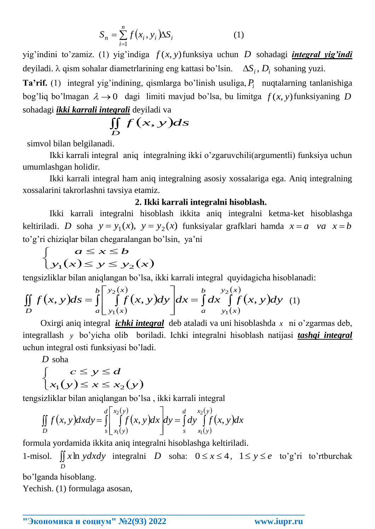$$
S_n = \sum_{i=1}^n f(x_i, y_i) \Delta S_i
$$
 (1)

yig'indini to'zamiz. (1) yig'indiga *f* (*x*, *y*) funksiya uchun *D* sohadagi *integral yig'indi* deyiladi.  $\lambda$  qism sohalar diametrlarining eng kattasi bo'lsin.  $\Delta S_i$ ,  $D_i$  sohaning yuzi.

**Ta'rif.** (1) integral yig'indining, qismlarga bo'linish usuliga, *Pi* nuqtalarning tanlanishiga bog'liq bo'lmagan  $\lambda \rightarrow 0$  dagi limiti mavjud bo'lsa, bu limitga  $f(x, y)$ funksiyaning D sohadagi *ikki karrali integrali* deyiladi va

$$
\iint\limits_{D} f(x, y) ds
$$

simvol bilan belgilanadi.

Ikki karrali integral aniq integralning ikki o'zgaruvchili(argumentli) funksiya uchun umumlashgan holidir.

Ikki karrali integral ham aniq integralning asosiy xossalariga ega. Aniq integralning xossalarini takrorlashni tavsiya etamiz.

### **2. Ikki karrali integralni hisoblash.**

Ikki karrali integralni hisoblash ikkita aniq integralni ketma-ket hisoblashga keltiriladi. *D* soha  $y = y_1(x)$ ,  $y = y_2(x)$  funksiyalar grafklari hamda  $x = a$  *va*  $x = b$ to'g'ri chiziqlar bilan chegaralangan bo'lsin, ya'ni

$$
\begin{cases}\na \le x \le b \\
y_1(x) \le y \le y_2(x)\n\end{cases}
$$

tengsizliklar bilan aniqlangan bo'lsa, ikki karrali integral quyidagicha hisoblanadi:

$$
\begin{cases}\n\big[ y_1(x) \le y \le y_2(x) \big] \\
\text{tengsizliklar bilan aniqlangan bo'lsa, ikki karrali integral quyidagicha hisoblan} \\
\iint_D f(x, y) \, ds = \int_a^b \left[ \int_{y_1(x)}^{y_2(x)} f(x, y) \, dy \right] \, dx = \int_a^b \left[ \int_{y_1(x)}^{y_2(x)} f(x, y) \, dy \right] \, dy\n\end{cases} \tag{1}
$$

Oxirgi aniq integral *ichki integral* deb ataladi va uni hisoblashda *x* ni o'zgarmas deb, integrallash *y* bo'yicha olib boriladi. Ichki integralni hisoblash natijasi *tashqi integral* uchun integral osti funksiyasi bo'ladi.

*D* soha

$$
\begin{cases} c \le y \le d \\ x_1(y) \le x \le x_2(y) \end{cases}
$$

tengsizliklar bilan aniqlangan bo'lsa , ikki karrali integral

$$
\iint\limits_{D} f(x, y) dxdy = \int\limits_{s}^{d} \left| \int\limits_{x_1(y)}^{x_2(y)} f(x, y) dx \right| dy = \int\limits_{s}^{d} dy \int\limits_{x_1(y)}^{x_2(y)} f(x, y) dx
$$

formula yordamida ikkita aniq integralni hisoblashga keltiriladi.

1-misol.  $\iint x \ln y \, dx \, dy$  integralni *D* soha:  $0 \le x \le 4$ ,  $1 \le y \le e$  to'g'ri to'rtburchak *D*

**\_\_\_\_\_\_\_\_\_\_\_\_\_\_\_\_\_\_\_\_\_\_\_\_\_\_\_\_\_\_\_\_\_\_\_\_\_\_\_\_\_\_\_\_\_\_\_\_\_\_\_\_\_\_\_\_\_\_\_\_\_\_\_\_**

bo'lganda hisoblang.

Yechish. (1) formulaga asosan,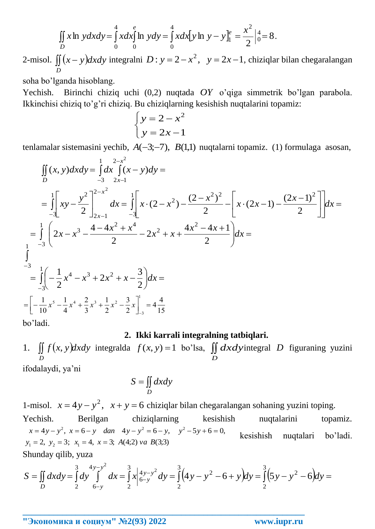$$
\iint\limits_{D} x \ln y \, dx \, dy = \int\limits_{0}^{4} x \, dx \int\limits_{0}^{e} \ln y \, dy = \int\limits_{0}^{4} x \, dx \big[ y \ln y - y \big]_{1}^{e} = \frac{x^{2}}{2} \Big|_{0}^{4} = 8 \, .
$$

2-misol.  $\iint (x - y) dx dy$  integralni  $D: y = 2 - x^2$ ,  $y = 2x - 1$ , chiziqlar bilan chegaralangan *D*

soha bo'lganda hisoblang.

Yechish. Birinchi chiziq uchi (0,2) nuqtada *OY* o'qiga simmetrik bo'lgan parabola. Ikkinchisi chiziq to'g'ri chiziq. Bu chiziqlarning kesishish nuqtalarini topamiz:

$$
\begin{cases}\ny = 2 - x^2 \\
y = 2x - 1\n\end{cases}
$$

tenlamalar sistemasini yechib,  $A(-3,-7)$ ,  $B(1,1)$  nuqtalarni topamiz. (1) formulaga asosan,

$$
\iint_{D} (x, y) dx dy = \int_{-3}^{1} dx \int_{2-x^{2}}^{2-x^{2}} (x - y) dy =
$$
\n
$$
= \int_{-3}^{1} \left[ xy - \frac{y^{2}}{2} \right]_{2x-1}^{2-x^{2}} dx = \int_{-3}^{1} \left[ x \cdot (2 - x^{2}) - \frac{(2 - x^{2})^{2}}{2} - \left[ x \cdot (2x - 1) - \frac{(2x - 1)^{2}}{2} \right] dx \right] =
$$
\n
$$
= \int_{-3}^{1} \left( 2x - x^{3} - \frac{4 - 4x^{2} + x^{4}}{2} - 2x^{2} + x + \frac{4x^{2} - 4x + 1}{2} \right) dx =
$$
\n
$$
\int_{-3}^{-3} \left[ -\frac{1}{2}x^{4} - x^{3} + 2x^{2} + x - \frac{3}{2} \right] dx =
$$
\n
$$
= \left[ -\frac{1}{10}x^{5} - \frac{1}{4}x^{4} + \frac{2}{3}x^{3} + \frac{1}{2}x^{2} - \frac{3}{2}x \right]_{-3}^{1} = 4\frac{4}{15}
$$
\n
$$
= \text{bo'ladi.}
$$

### **2. Ikki karrali integralning tatbiqlari.**

*f x ydxdy D* 1.  $\iint f(x, y) dxdy$  integralda  $f(x, y) = 1$  bo'lsa,  $\iint$ *D dxdy* integral *D* figuraning yuzini

ifodalaydi, ya'ni

$$
S = \iint\limits_{D} dx dy
$$

1-misol.  $x = 4y - y^2$ ,  $x + y = 6$  chiziqlar bilan chegaralangan sohaning yuzini toping.

Yechish. Berilgan chiziqlarning kesishish nuqtalarini topamiz. (echish. Berilgan chiziqlarni<br>  $x = 4y - y^2$ ,  $x = 6 - y$  dan  $4y - y^2 = 6 - y$ ,<br>  $y_1 = 2$ ,  $y_2 = 3$ ;  $x_1 = 4$ ,  $x = 3$ ;  $A(4;2)$  va  $B(3;3)$  $x = 4y - y^2$ ,  $x = 6 - y$  *dan*  $4y - y^2 = 6 - y$ ,  $y^2 - 5y + 6 = 0$ ,  $= 2, y_2 = 3; x_1 = 4, x =$ kesishish nuqtalari bo'ladi.

Shunday qilib, yuza

$$
x = 4y - y^2, x = 6 - y \quad \text{dan} \quad 4y - y^2 = 6 - y, \quad y^2 - 5y + 6 = 0,
$$
\n
$$
y_1 = 2, y_2 = 3; x_1 = 4, x = 3; A(4;2) \text{ va } B(3;3)
$$
\nShunday qilib, yuza

\n
$$
S = \iint_D dx dy = \int_2^3 dy \int_6^{4y - y^2} dx = \int_2^3 (4y - y^2 - 6 + y) dy = \int_2^3 (5y - y^2 - 6) dy = \int_2^3 (5y - y^2 - 6) dy = \int_2^3 (5y - y^2 - 6) dy = \int_2^3 (5y - y^2 - 6) dy = \int_2^3 (5y - y^2 - 6) dy = \int_2^3 (5y - y^2 - 6) dy = \int_2^3 (5y - y^2 - 6) dy = \int_2^3 (5y - y^2 - 6) dy = \int_2^3 (5y - y^2 - 6) dy = \int_2^3 (5y - y^2 - 6) dy = \int_2^3 (5y - y^2 - 6) dy = \int_2^3 (5y - y^2 - 6) dy = \int_2^3 (5y - y^2 - 6) dy = \int_2^3 (5y - y^2 - 6) dy = \int_2^3 (5y - y^2 - 6) dy = \int_2^3 (5y - y^2 - 6) dy = \int_2^3 (5y - y^2 - 6) dy = \int_2^3 (5y - y^2 - 6) dy = \int_2^3 (5y - y^2 - 6) dy = \int_2^3 (5y - y^2 - 6) dy = \int_2^3 (5y - y^2 - 6) dy = \int_2^3 (5y - y^2 - 6) dy = \int_2^3 (5y - y^2 - 6) dy = \int_2^3 (5y - y^2 - 6) dy = \int_2^3 (5y - y^2 - 6) dy = \int_2^3 (5y - y^2 - 6) dy = \int_2^3 (5y - y^2 - 6) dy = \int_2^3 (5y - y^2 - 6) dy = \int_2^3 (5y - y^2 - 6) dy = \int_2^3 (5y - y^2 - 6) dy = \int_2^3 (5y
$$

**\_\_\_\_\_\_\_\_\_\_\_\_\_\_\_\_\_\_\_\_\_\_\_\_\_\_\_\_\_\_\_\_\_\_\_\_\_\_\_\_\_\_\_\_\_\_\_\_\_\_\_\_\_\_\_\_\_\_\_\_\_\_\_\_**

**"Экономика и социум" №2(93) 2022 www.iupr.ru**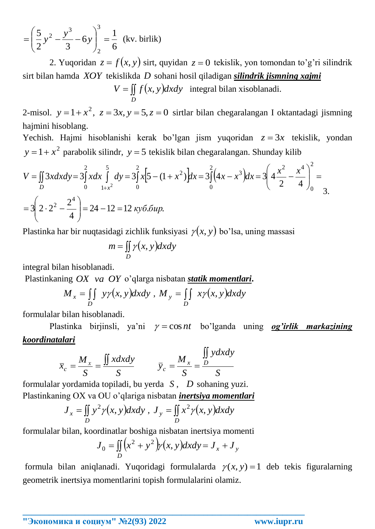$$
= \left(\frac{5}{2}y^2 - \frac{y^3}{3} - 6y\right)_2^3 = \frac{1}{6}
$$
 (kv. birlik)

2. Yuqoridan  $z = f(x, y)$  sirt, quyidan  $z = 0$  tekislik, yon tomondan to'g'ri silindrik sirt bilan hamda *XOY* tekislikda *D* sohani hosil qiladigan *silindrik jismning xajmi*

 $V = \iint f(x, y)$ *D*  $V = \iint f(x, y) dxdy$  integral bilan xisoblanadi.

2-misol.  $y = 1 + x^2$ ,  $z = 3x$ ,  $y = 5$ ,  $z = 0$  sirtlar bilan chegaralangan I oktantadagi jismning hajmini hisoblang.

Yechish. Hajmi hisoblanishi kerak bo'lgan jism yuqoridan  $z = 3x$  tekislik, yondan  $y = 1 + x^2$  parabolik silindr,  $y = 5$  tekislik bilan chegaralangan. Shunday kilib

2 <sup>3</sup> <sup>9</sup> <sup>2</sup> <sup>6</sup>  
\n2. Yuqorida 
$$
z = f(x, y)
$$
 sirt, quyidan  $z = 0$  tekislik, yon tomondan to'g'ri sil  
\nsirt bilan hamda *XOY* tekislikda *D* sohani hosil qiladigan silindrik jismining xaimi  
\n $V = \iint_{V} f(x, y) dx dy$  integral bilan xisoblanadi.  
\n2-misol.  $y = 1 + x^2$ ,  $z = 3x$ ,  $y = 5$ ,  $z = 0$  sirtlar bilan chegaralangan I oktantadagi jisi  
\nhajmini hisoblang.  
\nYechish. Hajmi hisoblanishi kerak bo'lgan jism yuqoridan  $z = 3x$  tekislik,  $y$   
\n $y = 1 + x^2$  parabolik silind,  $y = 5$  tekislik bilan chegaralangan. Shunday kilib  
\n $V = \iint_{0} 3xdxdy = 3\int_{0}^{2} xdx \int_{0}^{5} dy = 3\int_{0}^{2} x[5 - (1 + x^2)]dx = 3\int_{0}^{2} (4x - x^3)dx = 3\left(4\frac{x^2}{2} - \frac{x^4}{4}\right)_{0}^{2} =$   
\n $= 3\left(2 \cdot 2^2 - \frac{2^4}{4}\right) = 24 - 12 = 12$   $ky6.6 up$ .  
\nPlastinka har bir nuqtasidagi zichlik funksiyasi  $y(x, y)$  bo'lsa, uning massasi  
\n $m = \iint_{D} y(x, y) dx dy$   
\nintegral bilan hisoblanadi.  
\nPlastinkaning *OX va OY o'*qlarga nisbatan statik momentari.  
\n $M_x = \iint_{0} y(x, y) dx dy$ ,  $M_y = \iint_{0} x \frac{y(x, y) dx dy}{x^2}$   
\nformulalar bilan hisoblanadi.  
\nPlastinka birijnsli,  $y^2 = \cos nt$  bo'lganda uning og'irlik markas  
\nkoordinatalari  
\n $\overline{x}_c = \frac{M_x}{S} = \frac{\iint_{0} x dx dy}{S$ 

Plastinka har bir nuqtasidagi zichlik funksiyasi  $\gamma(x, y)$  bo'lsa, uning massasi

$$
m = \iint\limits_{D} \gamma(x, y) dxdy
$$

integral bilan hisoblanadi.

Plastinkaning *OX va OY* o'qlarga nisbatan *statik momentlari***.**

$$
M_x = \iint\limits_D y\gamma(x, y)dxdy, M_y = \iint\limits_D x\gamma(x, y)dxdy
$$

formulalar bilan hisoblanadi.

Plastinka birjinsli, ya'ni  $\gamma = \cos nt$  bo'lganda uning **og'irlik markazining** *koordinatalari*

$$
\overline{x}_c = \frac{M_x}{S} = \frac{\iint x dx dy}{S} \qquad \overline{y}_c = \frac{M_x}{S} = \frac{\iint y dx dy}{S}
$$

formulalar yordamida topiladi, bu yerda *S* , *D* sohaning yuzi. Plastinkaning OX va OU o'qlariga nisbatan *inertsiya momentlari*

$$
J_x = \iint_D y^2 \gamma(x, y) dx dy, J_y = \iint_D x^2 \gamma(x, y) dx dy
$$

formulalar bilan, koordinatlar boshiga nisbatan inertsiya momenti

$$
J_0 = \iint_D (x^2 + y^2) y(x, y) dx dy = J_x + J_y
$$

**\_\_\_\_\_\_\_\_\_\_\_\_\_\_\_\_\_\_\_\_\_\_\_\_\_\_\_\_\_\_\_\_\_\_\_\_\_\_\_\_\_\_\_\_\_\_\_\_\_\_\_\_\_\_\_\_\_\_\_\_\_\_\_\_**

formula bilan aniqlanadi. Yuqoridagi formulalarda  $\gamma(x, y) = 1$  deb tekis figuralarning geometrik inertsiya momentlarini topish formulalarini olamiz.